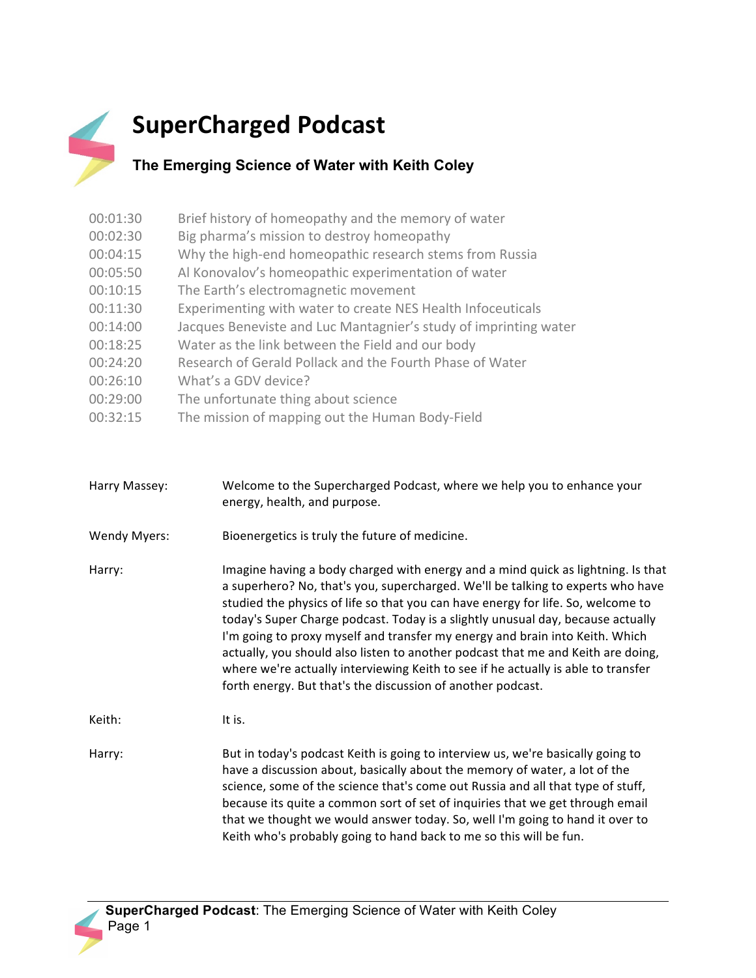## **SuperCharged Podcast**

## **The Emerging Science of Water with Keith Coley**

| 00:01:30 | Brief history of homeopathy and the memory of water              |
|----------|------------------------------------------------------------------|
| 00:02:30 | Big pharma's mission to destroy homeopathy                       |
| 00:04:15 | Why the high-end homeopathic research stems from Russia          |
| 00:05:50 | Al Konovalov's homeopathic experimentation of water              |
| 00:10:15 | The Earth's electromagnetic movement                             |
| 00:11:30 | Experimenting with water to create NES Health Infoceuticals      |
| 00:14:00 | Jacques Beneviste and Luc Mantagnier's study of imprinting water |
| 00:18:25 | Water as the link between the Field and our body                 |
| 00:24:20 | Research of Gerald Pollack and the Fourth Phase of Water         |
| 00:26:10 | What's a GDV device?                                             |
| 00:29:00 | The unfortunate thing about science                              |
| 00:32:15 | The mission of mapping out the Human Body-Field                  |

| Harry Massey:       | Welcome to the Supercharged Podcast, where we help you to enhance your<br>energy, health, and purpose.                                                                                                                                                                                                                                                                                                                                                                                                                                                                                                                                                             |
|---------------------|--------------------------------------------------------------------------------------------------------------------------------------------------------------------------------------------------------------------------------------------------------------------------------------------------------------------------------------------------------------------------------------------------------------------------------------------------------------------------------------------------------------------------------------------------------------------------------------------------------------------------------------------------------------------|
| <b>Wendy Myers:</b> | Bioenergetics is truly the future of medicine.                                                                                                                                                                                                                                                                                                                                                                                                                                                                                                                                                                                                                     |
| Harry:              | Imagine having a body charged with energy and a mind quick as lightning. Is that<br>a superhero? No, that's you, supercharged. We'll be talking to experts who have<br>studied the physics of life so that you can have energy for life. So, welcome to<br>today's Super Charge podcast. Today is a slightly unusual day, because actually<br>I'm going to proxy myself and transfer my energy and brain into Keith. Which<br>actually, you should also listen to another podcast that me and Keith are doing,<br>where we're actually interviewing Keith to see if he actually is able to transfer<br>forth energy. But that's the discussion of another podcast. |
| Keith:              | It is.                                                                                                                                                                                                                                                                                                                                                                                                                                                                                                                                                                                                                                                             |
| Harry:              | But in today's podcast Keith is going to interview us, we're basically going to<br>have a discussion about, basically about the memory of water, a lot of the<br>science, some of the science that's come out Russia and all that type of stuff,<br>because its quite a common sort of set of inquiries that we get through email<br>that we thought we would answer today. So, well I'm going to hand it over to<br>Keith who's probably going to hand back to me so this will be fun.                                                                                                                                                                            |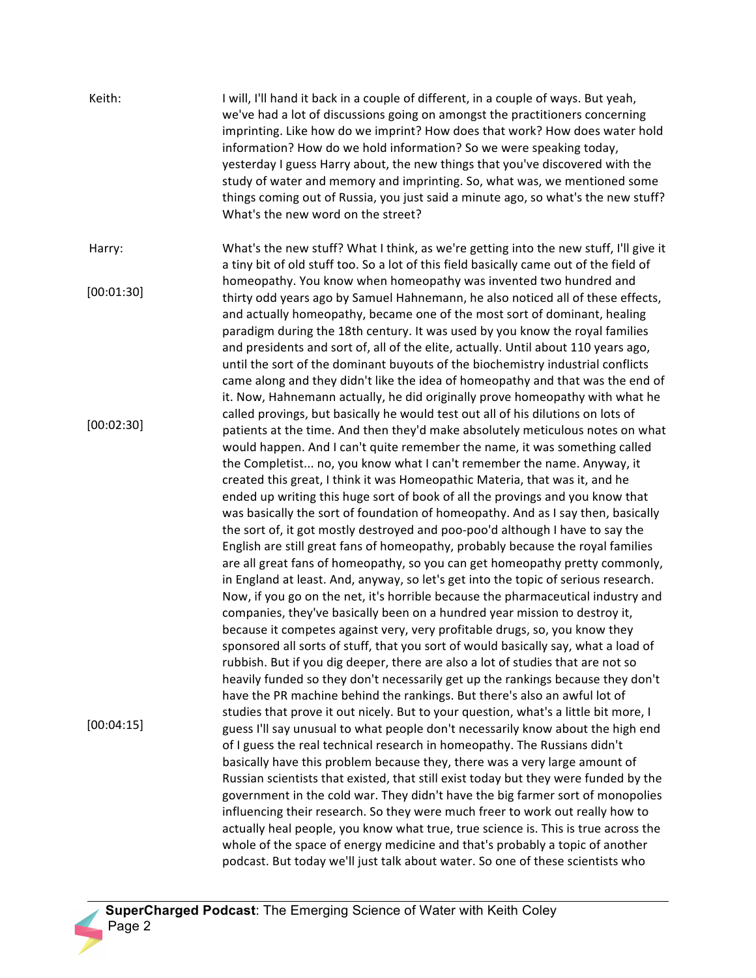| Keith:     | I will, I'll hand it back in a couple of different, in a couple of ways. But yeah,<br>we've had a lot of discussions going on amongst the practitioners concerning<br>imprinting. Like how do we imprint? How does that work? How does water hold<br>information? How do we hold information? So we were speaking today,<br>yesterday I guess Harry about, the new things that you've discovered with the<br>study of water and memory and imprinting. So, what was, we mentioned some<br>things coming out of Russia, you just said a minute ago, so what's the new stuff?<br>What's the new word on the street?                                                                                                                                                                                                                                                                                                                                                                                                                                                                                                                                                                                                                                                                                                                                                                                                                                                                                                 |
|------------|-------------------------------------------------------------------------------------------------------------------------------------------------------------------------------------------------------------------------------------------------------------------------------------------------------------------------------------------------------------------------------------------------------------------------------------------------------------------------------------------------------------------------------------------------------------------------------------------------------------------------------------------------------------------------------------------------------------------------------------------------------------------------------------------------------------------------------------------------------------------------------------------------------------------------------------------------------------------------------------------------------------------------------------------------------------------------------------------------------------------------------------------------------------------------------------------------------------------------------------------------------------------------------------------------------------------------------------------------------------------------------------------------------------------------------------------------------------------------------------------------------------------|
| Harry:     | What's the new stuff? What I think, as we're getting into the new stuff, I'll give it<br>a tiny bit of old stuff too. So a lot of this field basically came out of the field of                                                                                                                                                                                                                                                                                                                                                                                                                                                                                                                                                                                                                                                                                                                                                                                                                                                                                                                                                                                                                                                                                                                                                                                                                                                                                                                                   |
| [00:01:30] | homeopathy. You know when homeopathy was invented two hundred and<br>thirty odd years ago by Samuel Hahnemann, he also noticed all of these effects,<br>and actually homeopathy, became one of the most sort of dominant, healing<br>paradigm during the 18th century. It was used by you know the royal families<br>and presidents and sort of, all of the elite, actually. Until about 110 years ago,<br>until the sort of the dominant buyouts of the biochemistry industrial conflicts<br>came along and they didn't like the idea of homeopathy and that was the end of<br>it. Now, Hahnemann actually, he did originally prove homeopathy with what he                                                                                                                                                                                                                                                                                                                                                                                                                                                                                                                                                                                                                                                                                                                                                                                                                                                      |
| [00:02:30] | called provings, but basically he would test out all of his dilutions on lots of<br>patients at the time. And then they'd make absolutely meticulous notes on what<br>would happen. And I can't quite remember the name, it was something called<br>the Completist no, you know what I can't remember the name. Anyway, it<br>created this great, I think it was Homeopathic Materia, that was it, and he<br>ended up writing this huge sort of book of all the provings and you know that<br>was basically the sort of foundation of homeopathy. And as I say then, basically<br>the sort of, it got mostly destroyed and poo-poo'd although I have to say the<br>English are still great fans of homeopathy, probably because the royal families<br>are all great fans of homeopathy, so you can get homeopathy pretty commonly,<br>in England at least. And, anyway, so let's get into the topic of serious research.<br>Now, if you go on the net, it's horrible because the pharmaceutical industry and<br>companies, they've basically been on a hundred year mission to destroy it,<br>because it competes against very, very profitable drugs, so, you know they<br>sponsored all sorts of stuff, that you sort of would basically say, what a load of<br>rubbish. But if you dig deeper, there are also a lot of studies that are not so<br>heavily funded so they don't necessarily get up the rankings because they don't<br>have the PR machine behind the rankings. But there's also an awful lot of |
| [00:04:15] | studies that prove it out nicely. But to your question, what's a little bit more, I<br>guess I'll say unusual to what people don't necessarily know about the high end<br>of I guess the real technical research in homeopathy. The Russians didn't<br>basically have this problem because they, there was a very large amount of<br>Russian scientists that existed, that still exist today but they were funded by the<br>government in the cold war. They didn't have the big farmer sort of monopolies<br>influencing their research. So they were much freer to work out really how to<br>actually heal people, you know what true, true science is. This is true across the<br>whole of the space of energy medicine and that's probably a topic of another<br>podcast. But today we'll just talk about water. So one of these scientists who                                                                                                                                                                                                                                                                                                                                                                                                                                                                                                                                                                                                                                                               |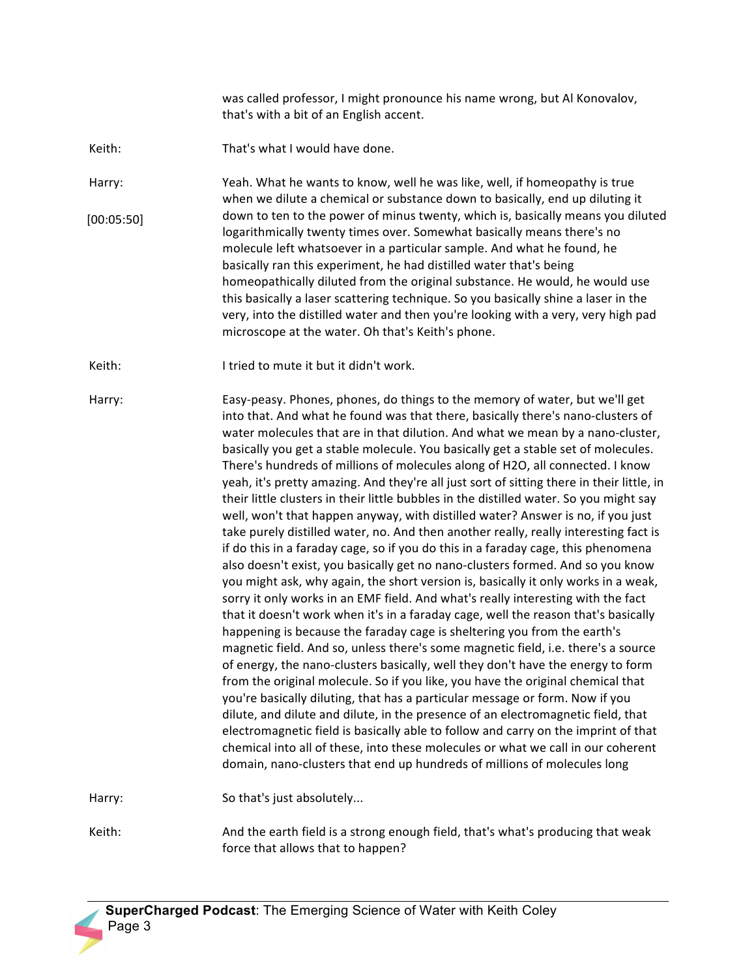was called professor, I might pronounce his name wrong, but Al Konovalov, that's with a bit of an English accent.

Keith: That's what I would have done.

Harry: Yeah. What he wants to know, well he was like, well, if homeopathy is true when we dilute a chemical or substance down to basically, end up diluting it down to ten to the power of minus twenty, which is, basically means you diluted logarithmically twenty times over. Somewhat basically means there's no molecule left whatsoever in a particular sample. And what he found, he basically ran this experiment, he had distilled water that's being homeopathically diluted from the original substance. He would, he would use this basically a laser scattering technique. So you basically shine a laser in the very, into the distilled water and then you're looking with a very, very high pad microscope at the water. Oh that's Keith's phone. [00:05:50]

Keith: I tried to mute it but it didn't work.

Harry: Easy-peasy. Phones, phones, do things to the memory of water, but we'll get into that. And what he found was that there, basically there's nano-clusters of water molecules that are in that dilution. And what we mean by a nano-cluster, basically you get a stable molecule. You basically get a stable set of molecules. There's hundreds of millions of molecules along of H2O, all connected. I know yeah, it's pretty amazing. And they're all just sort of sitting there in their little, in their little clusters in their little bubbles in the distilled water. So you might say well, won't that happen anyway, with distilled water? Answer is no, if you just take purely distilled water, no. And then another really, really interesting fact is if do this in a faraday cage, so if you do this in a faraday cage, this phenomena also doesn't exist, you basically get no nano-clusters formed. And so you know you might ask, why again, the short version is, basically it only works in a weak, sorry it only works in an EMF field. And what's really interesting with the fact that it doesn't work when it's in a faraday cage, well the reason that's basically happening is because the faraday cage is sheltering you from the earth's magnetic field. And so, unless there's some magnetic field, i.e. there's a source of energy, the nano-clusters basically, well they don't have the energy to form from the original molecule. So if you like, you have the original chemical that you're basically diluting, that has a particular message or form. Now if you dilute, and dilute and dilute, in the presence of an electromagnetic field, that electromagnetic field is basically able to follow and carry on the imprint of that chemical into all of these, into these molecules or what we call in our coherent domain, nano-clusters that end up hundreds of millions of molecules long

Harry: So that's just absolutely...

Keith: And the earth field is a strong enough field, that's what's producing that weak force that allows that to happen?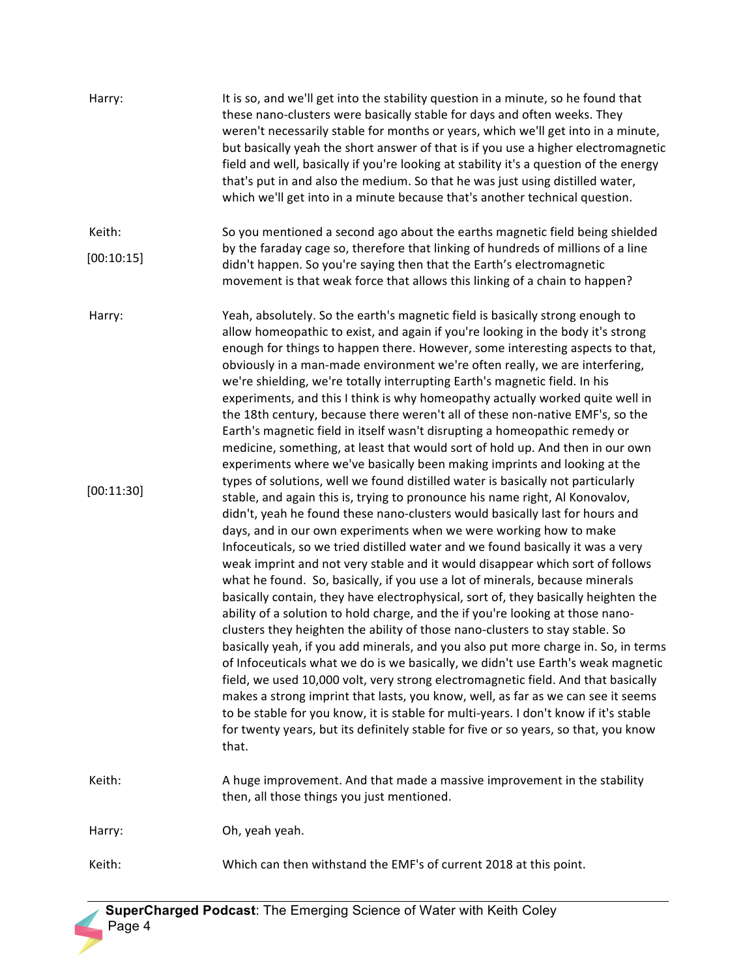| Harry:     | It is so, and we'll get into the stability question in a minute, so he found that<br>these nano-clusters were basically stable for days and often weeks. They<br>weren't necessarily stable for months or years, which we'll get into in a minute,<br>but basically yeah the short answer of that is if you use a higher electromagnetic<br>field and well, basically if you're looking at stability it's a question of the energy<br>that's put in and also the medium. So that he was just using distilled water,<br>which we'll get into in a minute because that's another technical question.                                                                                                                                                                                                                                                                                                                                                                                                                                                                                                                                                                                                                                                                                                                                                                          |
|------------|-----------------------------------------------------------------------------------------------------------------------------------------------------------------------------------------------------------------------------------------------------------------------------------------------------------------------------------------------------------------------------------------------------------------------------------------------------------------------------------------------------------------------------------------------------------------------------------------------------------------------------------------------------------------------------------------------------------------------------------------------------------------------------------------------------------------------------------------------------------------------------------------------------------------------------------------------------------------------------------------------------------------------------------------------------------------------------------------------------------------------------------------------------------------------------------------------------------------------------------------------------------------------------------------------------------------------------------------------------------------------------|
| Keith:     | So you mentioned a second ago about the earths magnetic field being shielded                                                                                                                                                                                                                                                                                                                                                                                                                                                                                                                                                                                                                                                                                                                                                                                                                                                                                                                                                                                                                                                                                                                                                                                                                                                                                                |
| [00:10:15] | by the faraday cage so, therefore that linking of hundreds of millions of a line<br>didn't happen. So you're saying then that the Earth's electromagnetic<br>movement is that weak force that allows this linking of a chain to happen?                                                                                                                                                                                                                                                                                                                                                                                                                                                                                                                                                                                                                                                                                                                                                                                                                                                                                                                                                                                                                                                                                                                                     |
| Harry:     | Yeah, absolutely. So the earth's magnetic field is basically strong enough to<br>allow homeopathic to exist, and again if you're looking in the body it's strong<br>enough for things to happen there. However, some interesting aspects to that,<br>obviously in a man-made environment we're often really, we are interfering,<br>we're shielding, we're totally interrupting Earth's magnetic field. In his<br>experiments, and this I think is why homeopathy actually worked quite well in<br>the 18th century, because there weren't all of these non-native EMF's, so the<br>Earth's magnetic field in itself wasn't disrupting a homeopathic remedy or<br>medicine, something, at least that would sort of hold up. And then in our own<br>experiments where we've basically been making imprints and looking at the                                                                                                                                                                                                                                                                                                                                                                                                                                                                                                                                                |
| [00:11:30] | types of solutions, well we found distilled water is basically not particularly<br>stable, and again this is, trying to pronounce his name right, Al Konovalov,<br>didn't, yeah he found these nano-clusters would basically last for hours and<br>days, and in our own experiments when we were working how to make<br>Infoceuticals, so we tried distilled water and we found basically it was a very<br>weak imprint and not very stable and it would disappear which sort of follows<br>what he found. So, basically, if you use a lot of minerals, because minerals<br>basically contain, they have electrophysical, sort of, they basically heighten the<br>ability of a solution to hold charge, and the if you're looking at those nano-<br>clusters they heighten the ability of those nano-clusters to stay stable. So<br>basically yeah, if you add minerals, and you also put more charge in. So, in terms<br>of Infoceuticals what we do is we basically, we didn't use Earth's weak magnetic<br>field, we used 10,000 volt, very strong electromagnetic field. And that basically<br>makes a strong imprint that lasts, you know, well, as far as we can see it seems<br>to be stable for you know, it is stable for multi-years. I don't know if it's stable<br>for twenty years, but its definitely stable for five or so years, so that, you know<br>that. |
| Keith:     | A huge improvement. And that made a massive improvement in the stability<br>then, all those things you just mentioned.                                                                                                                                                                                                                                                                                                                                                                                                                                                                                                                                                                                                                                                                                                                                                                                                                                                                                                                                                                                                                                                                                                                                                                                                                                                      |
| Harry:     | Oh, yeah yeah.                                                                                                                                                                                                                                                                                                                                                                                                                                                                                                                                                                                                                                                                                                                                                                                                                                                                                                                                                                                                                                                                                                                                                                                                                                                                                                                                                              |
| Keith:     | Which can then withstand the EMF's of current 2018 at this point.                                                                                                                                                                                                                                                                                                                                                                                                                                                                                                                                                                                                                                                                                                                                                                                                                                                                                                                                                                                                                                                                                                                                                                                                                                                                                                           |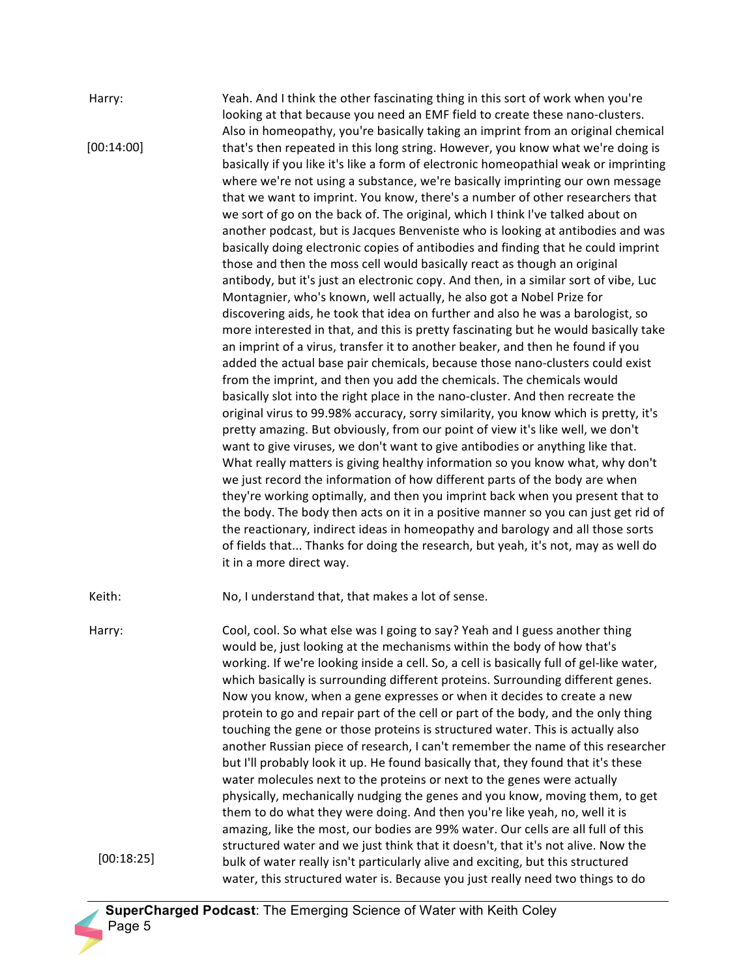Harry: Yeah. And I think the other fascinating thing in this sort of work when you're looking at that because you need an EMF field to create these nano-clusters. Also in homeopathy, you're basically taking an imprint from an original chemical that's then repeated in this long string. However, you know what we're doing is basically if you like it's like a form of electronic homeopathial weak or imprinting where we're not using a substance, we're basically imprinting our own message that we want to imprint. You know, there's a number of other researchers that we sort of go on the back of. The original, which I think I've talked about on another podcast, but is Jacques Benveniste who is looking at antibodies and was basically doing electronic copies of antibodies and finding that he could imprint those and then the moss cell would basically react as though an original antibody, but it's just an electronic copy. And then, in a similar sort of vibe, Luc Montagnier, who's known, well actually, he also got a Nobel Prize for discovering aids, he took that idea on further and also he was a barologist, so more interested in that, and this is pretty fascinating but he would basically take an imprint of a virus, transfer it to another beaker, and then he found if you added the actual base pair chemicals, because those nano-clusters could exist from the imprint, and then you add the chemicals. The chemicals would basically slot into the right place in the nano-cluster. And then recreate the original virus to 99.98% accuracy, sorry similarity, you know which is pretty, it's pretty amazing. But obviously, from our point of view it's like well, we don't want to give viruses, we don't want to give antibodies or anything like that. What really matters is giving healthy information so you know what, why don't we just record the information of how different parts of the body are when they're working optimally, and then you imprint back when you present that to the body. The body then acts on it in a positive manner so you can just get rid of the reactionary, indirect ideas in homeopathy and barology and all those sorts of fields that... Thanks for doing the research, but yeah, it's not, may as well do it in a more direct way. Keith: No, I understand that, that makes a lot of sense. Harry: Cool, cool. So what else was I going to say? Yeah and I guess another thing would be, just looking at the mechanisms within the body of how that's working. If we're looking inside a cell. So, a cell is basically full of gel-like water, which basically is surrounding different proteins. Surrounding different genes. Now you know, when a gene expresses or when it decides to create a new protein to go and repair part of the cell or part of the body, and the only thing touching the gene or those proteins is structured water. This is actually also another Russian piece of research, I can't remember the name of this researcher but I'll probably look it up. He found basically that, they found that it's these water molecules next to the proteins or next to the genes were actually physically, mechanically nudging the genes and you know, moving them, to get them to do what they were doing. And then you're like yeah, no, well it is amazing, like the most, our bodies are 99% water. Our cells are all full of this structured water and we just think that it doesn't, that it's not alive. Now the bulk of water really isn't particularly alive and exciting, but this structured water, this structured water is. Because you just really need two things to do [00:14:00] [00:18:25]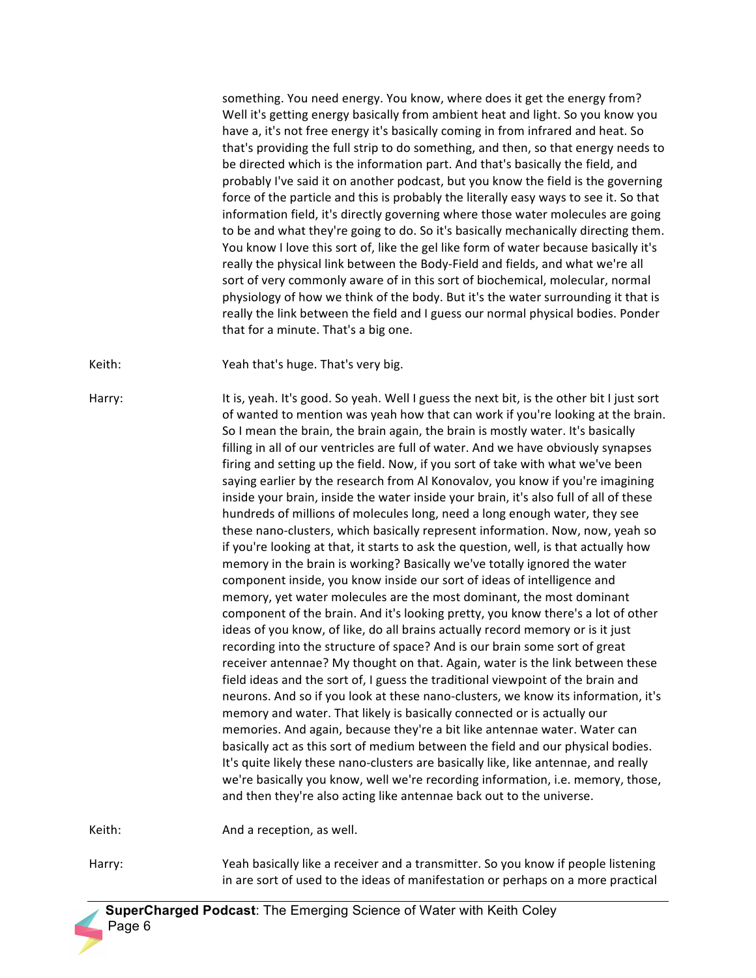something. You need energy. You know, where does it get the energy from? Well it's getting energy basically from ambient heat and light. So you know you have a, it's not free energy it's basically coming in from infrared and heat. So that's providing the full strip to do something, and then, so that energy needs to be directed which is the information part. And that's basically the field, and probably I've said it on another podcast, but you know the field is the governing force of the particle and this is probably the literally easy ways to see it. So that information field, it's directly governing where those water molecules are going to be and what they're going to do. So it's basically mechanically directing them. You know I love this sort of, like the gel like form of water because basically it's really the physical link between the Body-Field and fields, and what we're all sort of very commonly aware of in this sort of biochemical, molecular, normal physiology of how we think of the body. But it's the water surrounding it that is really the link between the field and I guess our normal physical bodies. Ponder that for a minute. That's a big one.

Keith: Yeah that's huge. That's very big.

Harry: It is, yeah. It's good. So yeah. Well I guess the next bit, is the other bit I just sort of wanted to mention was yeah how that can work if you're looking at the brain. So I mean the brain, the brain again, the brain is mostly water. It's basically filling in all of our ventricles are full of water. And we have obviously synapses firing and setting up the field. Now, if you sort of take with what we've been saying earlier by the research from Al Konovalov, you know if you're imagining inside your brain, inside the water inside your brain, it's also full of all of these hundreds of millions of molecules long, need a long enough water, they see these nano-clusters, which basically represent information. Now, now, yeah so if you're looking at that, it starts to ask the question, well, is that actually how memory in the brain is working? Basically we've totally ignored the water component inside, you know inside our sort of ideas of intelligence and memory, yet water molecules are the most dominant, the most dominant component of the brain. And it's looking pretty, you know there's a lot of other ideas of you know, of like, do all brains actually record memory or is it just recording into the structure of space? And is our brain some sort of great receiver antennae? My thought on that. Again, water is the link between these field ideas and the sort of, I guess the traditional viewpoint of the brain and neurons. And so if you look at these nano-clusters, we know its information, it's memory and water. That likely is basically connected or is actually our memories. And again, because they're a bit like antennae water. Water can basically act as this sort of medium between the field and our physical bodies. It's quite likely these nano-clusters are basically like, like antennae, and really we're basically you know, well we're recording information, i.e. memory, those, and then they're also acting like antennae back out to the universe.

Keith: And a reception, as well.

Harry: Yeah basically like a receiver and a transmitter. So you know if people listening in are sort of used to the ideas of manifestation or perhaps on a more practical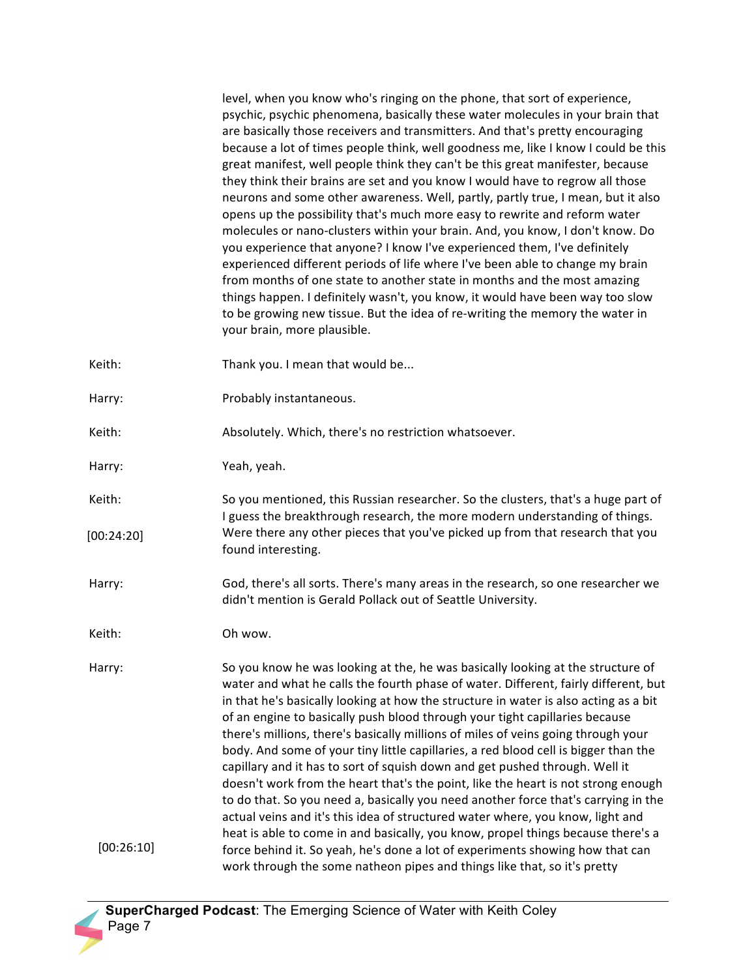level, when you know who's ringing on the phone, that sort of experience, psychic, psychic phenomena, basically these water molecules in your brain that are basically those receivers and transmitters. And that's pretty encouraging because a lot of times people think, well goodness me, like I know I could be this great manifest, well people think they can't be this great manifester, because they think their brains are set and you know I would have to regrow all those neurons and some other awareness. Well, partly, partly true, I mean, but it also opens up the possibility that's much more easy to rewrite and reform water molecules or nano-clusters within your brain. And, you know, I don't know. Do vou experience that anyone? I know I've experienced them, I've definitely experienced different periods of life where I've been able to change my brain from months of one state to another state in months and the most amazing things happen. I definitely wasn't, you know, it would have been way too slow to be growing new tissue. But the idea of re-writing the memory the water in your brain, more plausible.

- Keith: Thank you. I mean that would be...
- Harry: Probably instantaneous.
- Keith: Absolutely. Which, there's no restriction whatsoever.
- Harry: Yeah, yeah.
- Keith: So you mentioned, this Russian researcher. So the clusters, that's a huge part of I guess the breakthrough research, the more modern understanding of things. Were there any other pieces that you've picked up from that research that you found interesting. [00:24:20]
- Harry: God, there's all sorts. There's many areas in the research, so one researcher we didn't mention is Gerald Pollack out of Seattle University.
- Keith: Oh wow.

Harry: So you know he was looking at the, he was basically looking at the structure of water and what he calls the fourth phase of water. Different, fairly different, but in that he's basically looking at how the structure in water is also acting as a bit of an engine to basically push blood through your tight capillaries because there's millions, there's basically millions of miles of veins going through your body. And some of your tiny little capillaries, a red blood cell is bigger than the capillary and it has to sort of squish down and get pushed through. Well it doesn't work from the heart that's the point, like the heart is not strong enough to do that. So you need a, basically you need another force that's carrying in the actual veins and it's this idea of structured water where, you know, light and heat is able to come in and basically, you know, propel things because there's a force behind it. So yeah, he's done a lot of experiments showing how that can work through the some natheon pipes and things like that, so it's pretty [00:26:10]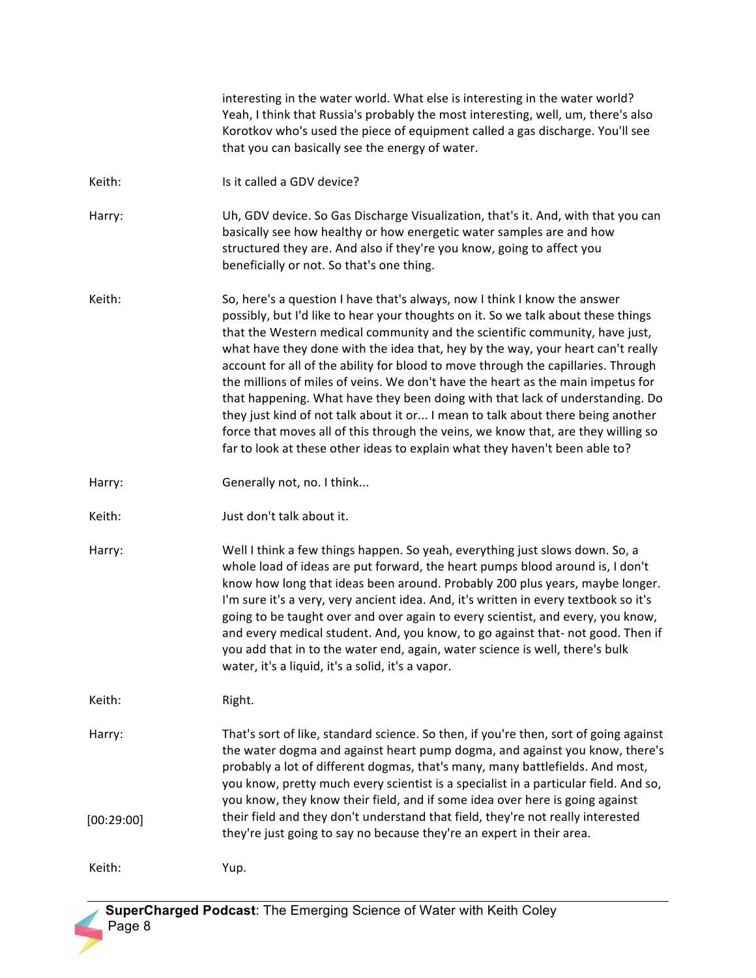|                      | interesting in the water world. What else is interesting in the water world?<br>Yeah, I think that Russia's probably the most interesting, well, um, there's also<br>Korotkov who's used the piece of equipment called a gas discharge. You'll see<br>that you can basically see the energy of water.                                                                                                                                                                                                                                                                                                                                                                                                                                                                                                                                            |
|----------------------|--------------------------------------------------------------------------------------------------------------------------------------------------------------------------------------------------------------------------------------------------------------------------------------------------------------------------------------------------------------------------------------------------------------------------------------------------------------------------------------------------------------------------------------------------------------------------------------------------------------------------------------------------------------------------------------------------------------------------------------------------------------------------------------------------------------------------------------------------|
| Keith:               | Is it called a GDV device?                                                                                                                                                                                                                                                                                                                                                                                                                                                                                                                                                                                                                                                                                                                                                                                                                       |
| Harry:               | Uh, GDV device. So Gas Discharge Visualization, that's it. And, with that you can<br>basically see how healthy or how energetic water samples are and how<br>structured they are. And also if they're you know, going to affect you<br>beneficially or not. So that's one thing.                                                                                                                                                                                                                                                                                                                                                                                                                                                                                                                                                                 |
| Keith:               | So, here's a question I have that's always, now I think I know the answer<br>possibly, but I'd like to hear your thoughts on it. So we talk about these things<br>that the Western medical community and the scientific community, have just,<br>what have they done with the idea that, hey by the way, your heart can't really<br>account for all of the ability for blood to move through the capillaries. Through<br>the millions of miles of veins. We don't have the heart as the main impetus for<br>that happening. What have they been doing with that lack of understanding. Do<br>they just kind of not talk about it or I mean to talk about there being another<br>force that moves all of this through the veins, we know that, are they willing so<br>far to look at these other ideas to explain what they haven't been able to? |
| Harry:               | Generally not, no. I think                                                                                                                                                                                                                                                                                                                                                                                                                                                                                                                                                                                                                                                                                                                                                                                                                       |
| Keith:               | Just don't talk about it.                                                                                                                                                                                                                                                                                                                                                                                                                                                                                                                                                                                                                                                                                                                                                                                                                        |
| Harry:               | Well I think a few things happen. So yeah, everything just slows down. So, a<br>whole load of ideas are put forward, the heart pumps blood around is, I don't<br>know how long that ideas been around. Probably 200 plus years, maybe longer.<br>I'm sure it's a very, very ancient idea. And, it's written in every textbook so it's<br>going to be taught over and over again to every scientist, and every, you know,<br>and every medical student. And, you know, to go against that-not good. Then if<br>you add that in to the water end, again, water science is well, there's bulk<br>water, it's a liquid, it's a solid, it's a vapor.                                                                                                                                                                                                  |
| Keith:               | Right.                                                                                                                                                                                                                                                                                                                                                                                                                                                                                                                                                                                                                                                                                                                                                                                                                                           |
| Harry:<br>[00:29:00] | That's sort of like, standard science. So then, if you're then, sort of going against<br>the water dogma and against heart pump dogma, and against you know, there's<br>probably a lot of different dogmas, that's many, many battlefields. And most,<br>you know, pretty much every scientist is a specialist in a particular field. And so,<br>you know, they know their field, and if some idea over here is going against<br>their field and they don't understand that field, they're not really interested<br>they're just going to say no because they're an expert in their area.                                                                                                                                                                                                                                                        |
| Keith:               | Yup.                                                                                                                                                                                                                                                                                                                                                                                                                                                                                                                                                                                                                                                                                                                                                                                                                                             |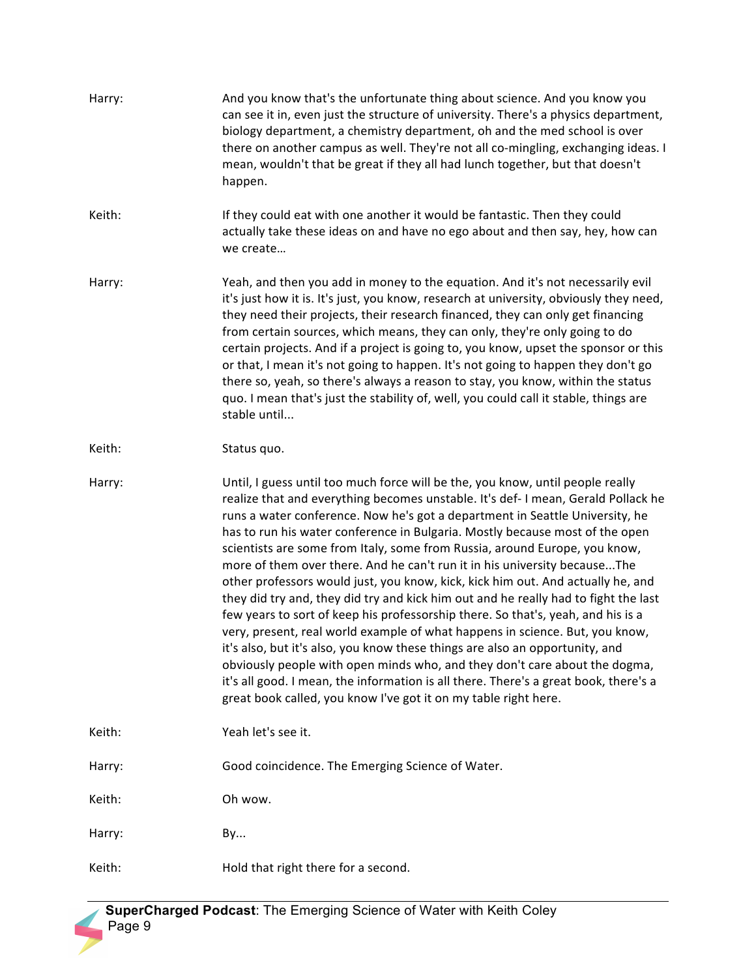| Harry: | And you know that's the unfortunate thing about science. And you know you<br>can see it in, even just the structure of university. There's a physics department,<br>biology department, a chemistry department, oh and the med school is over<br>there on another campus as well. They're not all co-mingling, exchanging ideas. I<br>mean, wouldn't that be great if they all had lunch together, but that doesn't<br>happen.                                                                                                                                                                                                                                                                                                                                                                                                                                                                                                                                                                                                                                                                                                                                       |
|--------|----------------------------------------------------------------------------------------------------------------------------------------------------------------------------------------------------------------------------------------------------------------------------------------------------------------------------------------------------------------------------------------------------------------------------------------------------------------------------------------------------------------------------------------------------------------------------------------------------------------------------------------------------------------------------------------------------------------------------------------------------------------------------------------------------------------------------------------------------------------------------------------------------------------------------------------------------------------------------------------------------------------------------------------------------------------------------------------------------------------------------------------------------------------------|
| Keith: | If they could eat with one another it would be fantastic. Then they could<br>actually take these ideas on and have no ego about and then say, hey, how can<br>we create                                                                                                                                                                                                                                                                                                                                                                                                                                                                                                                                                                                                                                                                                                                                                                                                                                                                                                                                                                                              |
| Harry: | Yeah, and then you add in money to the equation. And it's not necessarily evil<br>it's just how it is. It's just, you know, research at university, obviously they need,<br>they need their projects, their research financed, they can only get financing<br>from certain sources, which means, they can only, they're only going to do<br>certain projects. And if a project is going to, you know, upset the sponsor or this<br>or that, I mean it's not going to happen. It's not going to happen they don't go<br>there so, yeah, so there's always a reason to stay, you know, within the status<br>quo. I mean that's just the stability of, well, you could call it stable, things are<br>stable until                                                                                                                                                                                                                                                                                                                                                                                                                                                       |
| Keith: | Status quo.                                                                                                                                                                                                                                                                                                                                                                                                                                                                                                                                                                                                                                                                                                                                                                                                                                                                                                                                                                                                                                                                                                                                                          |
| Harry: | Until, I guess until too much force will be the, you know, until people really<br>realize that and everything becomes unstable. It's def-I mean, Gerald Pollack he<br>runs a water conference. Now he's got a department in Seattle University, he<br>has to run his water conference in Bulgaria. Mostly because most of the open<br>scientists are some from Italy, some from Russia, around Europe, you know,<br>more of them over there. And he can't run it in his university becauseThe<br>other professors would just, you know, kick, kick him out. And actually he, and<br>they did try and, they did try and kick him out and he really had to fight the last<br>few years to sort of keep his professorship there. So that's, yeah, and his is a<br>very, present, real world example of what happens in science. But, you know,<br>it's also, but it's also, you know these things are also an opportunity, and<br>obviously people with open minds who, and they don't care about the dogma,<br>it's all good. I mean, the information is all there. There's a great book, there's a<br>great book called, you know I've got it on my table right here. |
| Keith: | Yeah let's see it.                                                                                                                                                                                                                                                                                                                                                                                                                                                                                                                                                                                                                                                                                                                                                                                                                                                                                                                                                                                                                                                                                                                                                   |
| Harry: | Good coincidence. The Emerging Science of Water.                                                                                                                                                                                                                                                                                                                                                                                                                                                                                                                                                                                                                                                                                                                                                                                                                                                                                                                                                                                                                                                                                                                     |
| Keith: | Oh wow.                                                                                                                                                                                                                                                                                                                                                                                                                                                                                                                                                                                                                                                                                                                                                                                                                                                                                                                                                                                                                                                                                                                                                              |
| Harry: | By                                                                                                                                                                                                                                                                                                                                                                                                                                                                                                                                                                                                                                                                                                                                                                                                                                                                                                                                                                                                                                                                                                                                                                   |
| Keith: | Hold that right there for a second.                                                                                                                                                                                                                                                                                                                                                                                                                                                                                                                                                                                                                                                                                                                                                                                                                                                                                                                                                                                                                                                                                                                                  |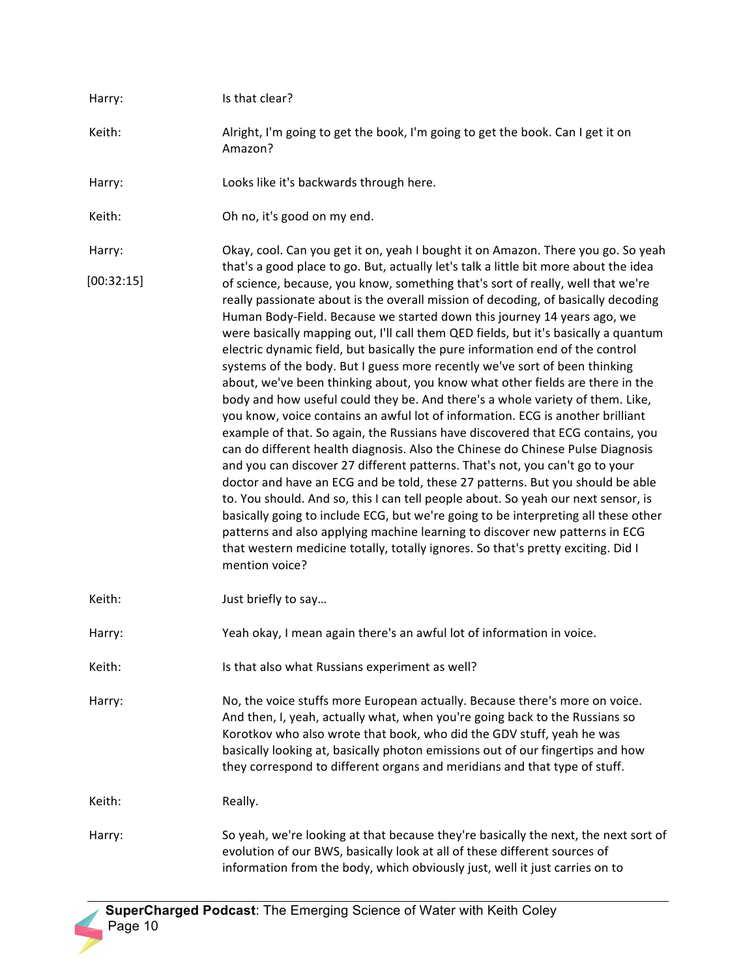| Harry:     | Is that clear?                                                                                                                                                                                                                                                                                                                                                                                                                                                                                                                                                                                                                                                                                                                                                                                                                                                                                                                                                                                                                                                                                                                                                                                                                                                                                                                                                                                                                                                 |
|------------|----------------------------------------------------------------------------------------------------------------------------------------------------------------------------------------------------------------------------------------------------------------------------------------------------------------------------------------------------------------------------------------------------------------------------------------------------------------------------------------------------------------------------------------------------------------------------------------------------------------------------------------------------------------------------------------------------------------------------------------------------------------------------------------------------------------------------------------------------------------------------------------------------------------------------------------------------------------------------------------------------------------------------------------------------------------------------------------------------------------------------------------------------------------------------------------------------------------------------------------------------------------------------------------------------------------------------------------------------------------------------------------------------------------------------------------------------------------|
| Keith:     | Alright, I'm going to get the book, I'm going to get the book. Can I get it on<br>Amazon?                                                                                                                                                                                                                                                                                                                                                                                                                                                                                                                                                                                                                                                                                                                                                                                                                                                                                                                                                                                                                                                                                                                                                                                                                                                                                                                                                                      |
| Harry:     | Looks like it's backwards through here.                                                                                                                                                                                                                                                                                                                                                                                                                                                                                                                                                                                                                                                                                                                                                                                                                                                                                                                                                                                                                                                                                                                                                                                                                                                                                                                                                                                                                        |
| Keith:     | Oh no, it's good on my end.                                                                                                                                                                                                                                                                                                                                                                                                                                                                                                                                                                                                                                                                                                                                                                                                                                                                                                                                                                                                                                                                                                                                                                                                                                                                                                                                                                                                                                    |
| Harry:     | Okay, cool. Can you get it on, yeah I bought it on Amazon. There you go. So yeah<br>that's a good place to go. But, actually let's talk a little bit more about the idea                                                                                                                                                                                                                                                                                                                                                                                                                                                                                                                                                                                                                                                                                                                                                                                                                                                                                                                                                                                                                                                                                                                                                                                                                                                                                       |
| [00:32:15] | of science, because, you know, something that's sort of really, well that we're<br>really passionate about is the overall mission of decoding, of basically decoding<br>Human Body-Field. Because we started down this journey 14 years ago, we<br>were basically mapping out, I'll call them QED fields, but it's basically a quantum<br>electric dynamic field, but basically the pure information end of the control<br>systems of the body. But I guess more recently we've sort of been thinking<br>about, we've been thinking about, you know what other fields are there in the<br>body and how useful could they be. And there's a whole variety of them. Like,<br>you know, voice contains an awful lot of information. ECG is another brilliant<br>example of that. So again, the Russians have discovered that ECG contains, you<br>can do different health diagnosis. Also the Chinese do Chinese Pulse Diagnosis<br>and you can discover 27 different patterns. That's not, you can't go to your<br>doctor and have an ECG and be told, these 27 patterns. But you should be able<br>to. You should. And so, this I can tell people about. So yeah our next sensor, is<br>basically going to include ECG, but we're going to be interpreting all these other<br>patterns and also applying machine learning to discover new patterns in ECG<br>that western medicine totally, totally ignores. So that's pretty exciting. Did I<br>mention voice? |
| Keith:     | Just briefly to say                                                                                                                                                                                                                                                                                                                                                                                                                                                                                                                                                                                                                                                                                                                                                                                                                                                                                                                                                                                                                                                                                                                                                                                                                                                                                                                                                                                                                                            |
| Harry:     | Yeah okay, I mean again there's an awful lot of information in voice.                                                                                                                                                                                                                                                                                                                                                                                                                                                                                                                                                                                                                                                                                                                                                                                                                                                                                                                                                                                                                                                                                                                                                                                                                                                                                                                                                                                          |
| Keith:     | Is that also what Russians experiment as well?                                                                                                                                                                                                                                                                                                                                                                                                                                                                                                                                                                                                                                                                                                                                                                                                                                                                                                                                                                                                                                                                                                                                                                                                                                                                                                                                                                                                                 |
| Harry:     | No, the voice stuffs more European actually. Because there's more on voice.<br>And then, I, yeah, actually what, when you're going back to the Russians so<br>Korotkov who also wrote that book, who did the GDV stuff, yeah he was<br>basically looking at, basically photon emissions out of our fingertips and how<br>they correspond to different organs and meridians and that type of stuff.                                                                                                                                                                                                                                                                                                                                                                                                                                                                                                                                                                                                                                                                                                                                                                                                                                                                                                                                                                                                                                                             |
| Keith:     | Really.                                                                                                                                                                                                                                                                                                                                                                                                                                                                                                                                                                                                                                                                                                                                                                                                                                                                                                                                                                                                                                                                                                                                                                                                                                                                                                                                                                                                                                                        |
| Harry:     | So yeah, we're looking at that because they're basically the next, the next sort of<br>evolution of our BWS, basically look at all of these different sources of<br>information from the body, which obviously just, well it just carries on to                                                                                                                                                                                                                                                                                                                                                                                                                                                                                                                                                                                                                                                                                                                                                                                                                                                                                                                                                                                                                                                                                                                                                                                                                |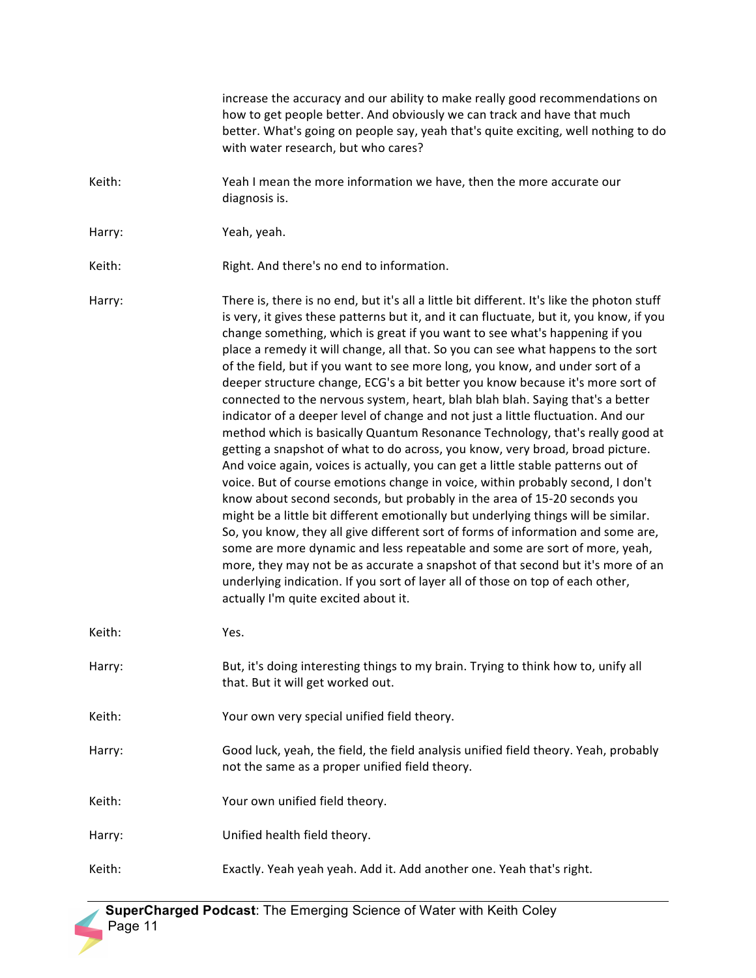|        | increase the accuracy and our ability to make really good recommendations on<br>how to get people better. And obviously we can track and have that much<br>better. What's going on people say, yeah that's quite exciting, well nothing to do<br>with water research, but who cares?                                                                                                                                                                                                                                                                                                                                                                                                                                                                                                                                                                                                                                                                                                                                                                                                                                                                                                                                                                                                                                                                                                                                                                                                                                                                                                       |
|--------|--------------------------------------------------------------------------------------------------------------------------------------------------------------------------------------------------------------------------------------------------------------------------------------------------------------------------------------------------------------------------------------------------------------------------------------------------------------------------------------------------------------------------------------------------------------------------------------------------------------------------------------------------------------------------------------------------------------------------------------------------------------------------------------------------------------------------------------------------------------------------------------------------------------------------------------------------------------------------------------------------------------------------------------------------------------------------------------------------------------------------------------------------------------------------------------------------------------------------------------------------------------------------------------------------------------------------------------------------------------------------------------------------------------------------------------------------------------------------------------------------------------------------------------------------------------------------------------------|
| Keith: | Yeah I mean the more information we have, then the more accurate our<br>diagnosis is.                                                                                                                                                                                                                                                                                                                                                                                                                                                                                                                                                                                                                                                                                                                                                                                                                                                                                                                                                                                                                                                                                                                                                                                                                                                                                                                                                                                                                                                                                                      |
| Harry: | Yeah, yeah.                                                                                                                                                                                                                                                                                                                                                                                                                                                                                                                                                                                                                                                                                                                                                                                                                                                                                                                                                                                                                                                                                                                                                                                                                                                                                                                                                                                                                                                                                                                                                                                |
| Keith: | Right. And there's no end to information.                                                                                                                                                                                                                                                                                                                                                                                                                                                                                                                                                                                                                                                                                                                                                                                                                                                                                                                                                                                                                                                                                                                                                                                                                                                                                                                                                                                                                                                                                                                                                  |
| Harry: | There is, there is no end, but it's all a little bit different. It's like the photon stuff<br>is very, it gives these patterns but it, and it can fluctuate, but it, you know, if you<br>change something, which is great if you want to see what's happening if you<br>place a remedy it will change, all that. So you can see what happens to the sort<br>of the field, but if you want to see more long, you know, and under sort of a<br>deeper structure change, ECG's a bit better you know because it's more sort of<br>connected to the nervous system, heart, blah blah blah. Saying that's a better<br>indicator of a deeper level of change and not just a little fluctuation. And our<br>method which is basically Quantum Resonance Technology, that's really good at<br>getting a snapshot of what to do across, you know, very broad, broad picture.<br>And voice again, voices is actually, you can get a little stable patterns out of<br>voice. But of course emotions change in voice, within probably second, I don't<br>know about second seconds, but probably in the area of 15-20 seconds you<br>might be a little bit different emotionally but underlying things will be similar.<br>So, you know, they all give different sort of forms of information and some are,<br>some are more dynamic and less repeatable and some are sort of more, yeah,<br>more, they may not be as accurate a snapshot of that second but it's more of an<br>underlying indication. If you sort of layer all of those on top of each other,<br>actually I'm quite excited about it. |
| Keith: | Yes.                                                                                                                                                                                                                                                                                                                                                                                                                                                                                                                                                                                                                                                                                                                                                                                                                                                                                                                                                                                                                                                                                                                                                                                                                                                                                                                                                                                                                                                                                                                                                                                       |
| Harry: | But, it's doing interesting things to my brain. Trying to think how to, unify all<br>that. But it will get worked out.                                                                                                                                                                                                                                                                                                                                                                                                                                                                                                                                                                                                                                                                                                                                                                                                                                                                                                                                                                                                                                                                                                                                                                                                                                                                                                                                                                                                                                                                     |
| Keith: | Your own very special unified field theory.                                                                                                                                                                                                                                                                                                                                                                                                                                                                                                                                                                                                                                                                                                                                                                                                                                                                                                                                                                                                                                                                                                                                                                                                                                                                                                                                                                                                                                                                                                                                                |
| Harry: | Good luck, yeah, the field, the field analysis unified field theory. Yeah, probably<br>not the same as a proper unified field theory.                                                                                                                                                                                                                                                                                                                                                                                                                                                                                                                                                                                                                                                                                                                                                                                                                                                                                                                                                                                                                                                                                                                                                                                                                                                                                                                                                                                                                                                      |
| Keith: | Your own unified field theory.                                                                                                                                                                                                                                                                                                                                                                                                                                                                                                                                                                                                                                                                                                                                                                                                                                                                                                                                                                                                                                                                                                                                                                                                                                                                                                                                                                                                                                                                                                                                                             |
| Harry: | Unified health field theory.                                                                                                                                                                                                                                                                                                                                                                                                                                                                                                                                                                                                                                                                                                                                                                                                                                                                                                                                                                                                                                                                                                                                                                                                                                                                                                                                                                                                                                                                                                                                                               |
| Keith: | Exactly. Yeah yeah yeah. Add it. Add another one. Yeah that's right.                                                                                                                                                                                                                                                                                                                                                                                                                                                                                                                                                                                                                                                                                                                                                                                                                                                                                                                                                                                                                                                                                                                                                                                                                                                                                                                                                                                                                                                                                                                       |